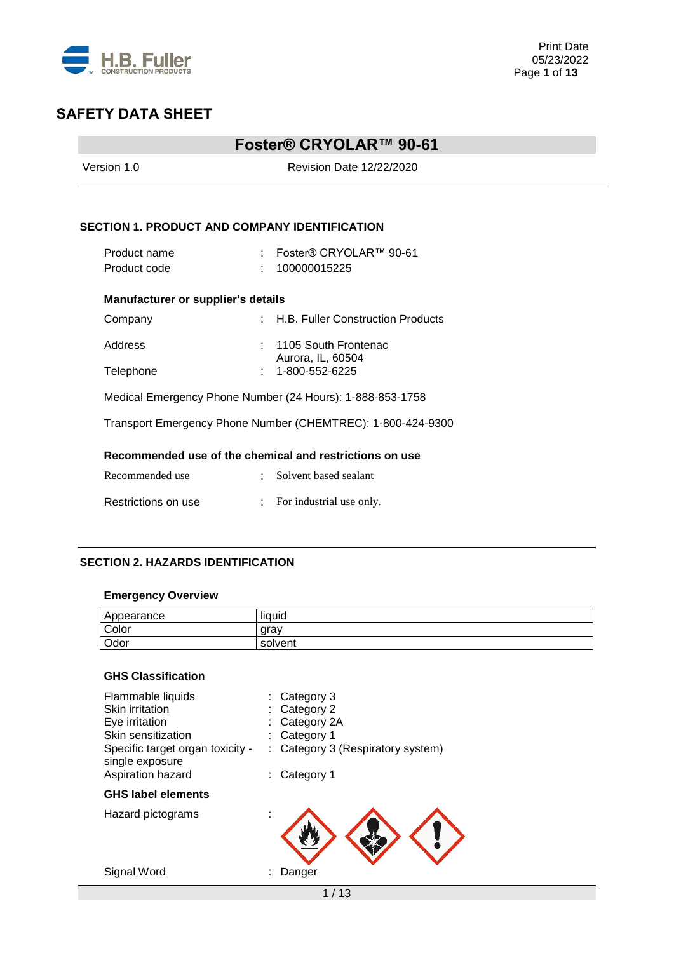

## **Foster® CRYOLAR™ 90-61**

| Version 1.0                                          | <b>Revision Date 12/22/2020</b>                             |  |  |  |
|------------------------------------------------------|-------------------------------------------------------------|--|--|--|
| <b>SECTION 1. PRODUCT AND COMPANY IDENTIFICATION</b> |                                                             |  |  |  |
| Product name<br>Product code                         | : Foster® CRYOLAR™ 90-61<br>100000015225                    |  |  |  |
| <b>Manufacturer or supplier's details</b>            |                                                             |  |  |  |
| Company                                              | : H.B. Fuller Construction Products                         |  |  |  |
| Address<br>Telephone                                 | 1105 South Frontenac<br>Aurora, IL, 60504<br>1-800-552-6225 |  |  |  |
|                                                      | Medical Emergency Phone Number (24 Hours): 1-888-853-1758   |  |  |  |
|                                                      | Transport Emergency Phone Number (CHEMTREC): 1-800-424-9300 |  |  |  |
|                                                      | Recommended use of the chemical and restrictions on use     |  |  |  |
| Recommended use                                      | Solvent based sealant                                       |  |  |  |
| Restrictions on use                                  | For industrial use only.                                    |  |  |  |

### **SECTION 2. HAZARDS IDENTIFICATION**

### **Emergency Overview**

| Appearance | $\cdots$<br>liquid |
|------------|--------------------|
| Color      | arav               |
| Odor       | solvent            |

## **GHS Classification**

| Flammable liquids<br>Skin irritation<br>Eye irritation<br>Skin sensitization<br>Specific target organ toxicity -<br>single exposure<br>Aspiration hazard | Category 3<br>Category 2<br>Category 2A<br>Category 1<br>Category 3 (Respiratory system)<br>Category 1 |
|----------------------------------------------------------------------------------------------------------------------------------------------------------|--------------------------------------------------------------------------------------------------------|
| <b>GHS label elements</b>                                                                                                                                |                                                                                                        |
| Hazard pictograms                                                                                                                                        |                                                                                                        |
| Signal Word                                                                                                                                              | Danger                                                                                                 |
|                                                                                                                                                          | 1 / 13                                                                                                 |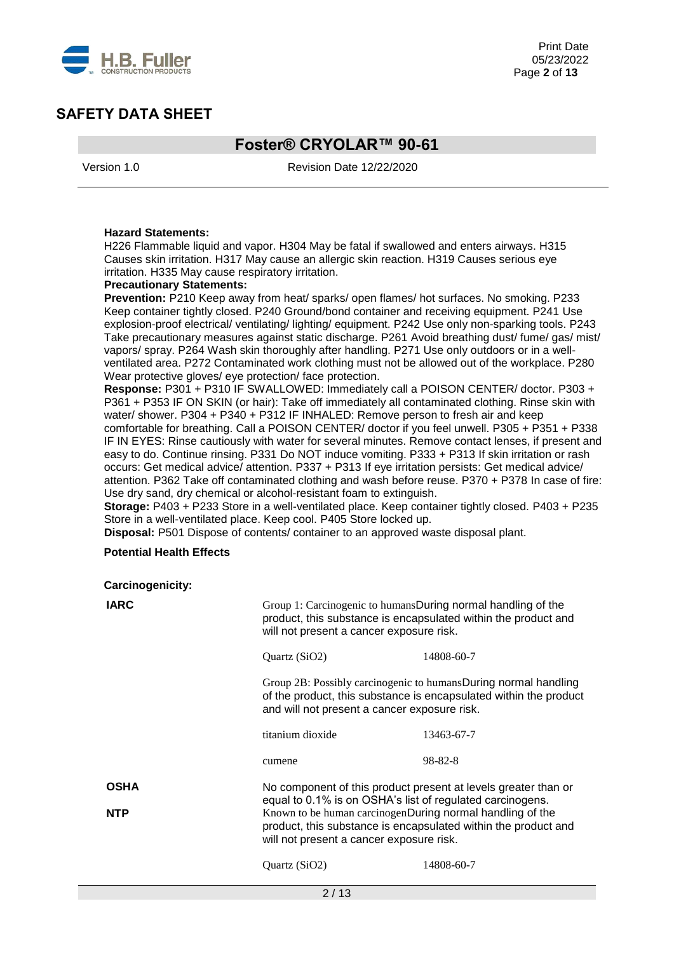

## **Foster® CRYOLAR™ 90-61**

Version 1.0 Revision Date 12/22/2020

#### **Hazard Statements:**

H226 Flammable liquid and vapor. H304 May be fatal if swallowed and enters airways. H315 Causes skin irritation. H317 May cause an allergic skin reaction. H319 Causes serious eye irritation. H335 May cause respiratory irritation.

#### **Precautionary Statements:**

**Prevention:** P210 Keep away from heat/ sparks/ open flames/ hot surfaces. No smoking. P233 Keep container tightly closed. P240 Ground/bond container and receiving equipment. P241 Use explosion-proof electrical/ ventilating/ lighting/ equipment. P242 Use only non-sparking tools. P243 Take precautionary measures against static discharge. P261 Avoid breathing dust/ fume/ gas/ mist/ vapors/ spray. P264 Wash skin thoroughly after handling. P271 Use only outdoors or in a wellventilated area. P272 Contaminated work clothing must not be allowed out of the workplace. P280 Wear protective gloves/ eye protection/ face protection.

**Response:** P301 + P310 IF SWALLOWED: Immediately call a POISON CENTER/ doctor. P303 + P361 + P353 IF ON SKIN (or hair): Take off immediately all contaminated clothing. Rinse skin with water/ shower. P304 + P340 + P312 IF INHALED: Remove person to fresh air and keep comfortable for breathing. Call a POISON CENTER/ doctor if you feel unwell. P305 + P351 + P338 IF IN EYES: Rinse cautiously with water for several minutes. Remove contact lenses, if present and easy to do. Continue rinsing. P331 Do NOT induce vomiting. P333 + P313 If skin irritation or rash occurs: Get medical advice/ attention. P337 + P313 If eye irritation persists: Get medical advice/ attention. P362 Take off contaminated clothing and wash before reuse. P370 + P378 In case of fire: Use dry sand, dry chemical or alcohol-resistant foam to extinguish.

**Storage:** P403 + P233 Store in a well-ventilated place. Keep container tightly closed. P403 + P235 Store in a well-ventilated place. Keep cool. P405 Store locked up.

**Disposal:** P501 Dispose of contents/ container to an approved waste disposal plant.

#### **Potential Health Effects**

**Carcinogenicity:**

| <b>IARC</b> | Group 1: Carcinogenic to humansDuring normal handling of the<br>will not present a cancer exposure risk.                                                                                                                             | product, this substance is encapsulated within the product and                                                                       |  |
|-------------|--------------------------------------------------------------------------------------------------------------------------------------------------------------------------------------------------------------------------------------|--------------------------------------------------------------------------------------------------------------------------------------|--|
|             | Quartz (SiO2)                                                                                                                                                                                                                        | 14808-60-7                                                                                                                           |  |
|             | and will not present a cancer exposure risk.                                                                                                                                                                                         | Group 2B: Possibly carcinogenic to humansDuring normal handling<br>of the product, this substance is encapsulated within the product |  |
|             | titanium dioxide                                                                                                                                                                                                                     | 13463-67-7                                                                                                                           |  |
|             | cumene                                                                                                                                                                                                                               | 98-82-8                                                                                                                              |  |
| <b>OSHA</b> |                                                                                                                                                                                                                                      | No component of this product present at levels greater than or                                                                       |  |
| <b>NTP</b>  | equal to 0.1% is on OSHA's list of regulated carcinogens.<br>Known to be human carcinogenDuring normal handling of the<br>product, this substance is encapsulated within the product and<br>will not present a cancer exposure risk. |                                                                                                                                      |  |
|             | Quartz (SiO2)                                                                                                                                                                                                                        | 14808-60-7                                                                                                                           |  |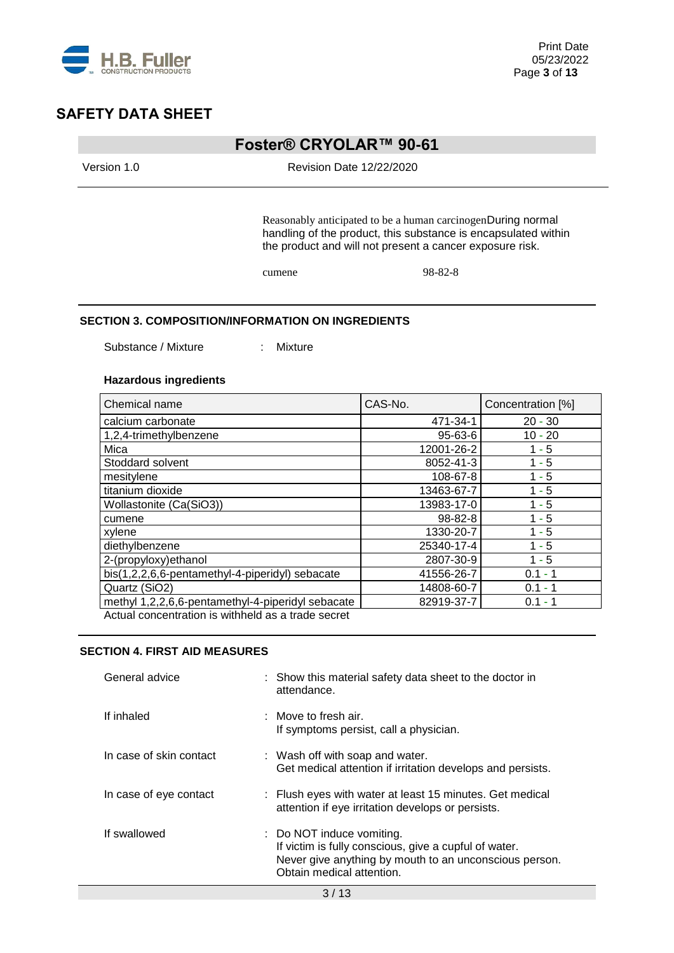

## **Foster® CRYOLAR™ 90-61**

Version 1.0 Revision Date 12/22/2020

Reasonably anticipated to be a human carcinogenDuring normal handling of the product, this substance is encapsulated within the product and will not present a cancer exposure risk.

cumene 98-82-8

#### **SECTION 3. COMPOSITION/INFORMATION ON INGREDIENTS**

Substance / Mixture : Mixture

#### **Hazardous ingredients**

| Chemical name                                      | CAS-No.       | Concentration [%] |
|----------------------------------------------------|---------------|-------------------|
| calcium carbonate                                  | 471-34-1      | $20 - 30$         |
| 1,2,4-trimethylbenzene                             | $95 - 63 - 6$ | $10 - 20$         |
| Mica                                               | 12001-26-2    | $1 - 5$           |
| Stoddard solvent                                   | 8052-41-3     | $1 - 5$           |
| mesitylene                                         | 108-67-8      | $1 - 5$           |
| titanium dioxide                                   | 13463-67-7    | $1 - 5$           |
| Wollastonite (Ca(SiO3))                            | 13983-17-0    | $1 - 5$           |
| cumene                                             | $98 - 82 - 8$ | $1 - 5$           |
| xylene                                             | 1330-20-7     | $1 - 5$           |
| diethylbenzene                                     | 25340-17-4    | $1 - 5$           |
| 2-(propyloxy) ethanol                              | 2807-30-9     | $1 - 5$           |
| bis(1,2,2,6,6-pentamethyl-4-piperidyl) sebacate    | 41556-26-7    | $0.1 - 1$         |
| Quartz (SiO2)                                      | 14808-60-7    | $0.1 - 1$         |
| methyl 1,2,2,6,6-pentamethyl-4-piperidyl sebacate  | 82919-37-7    | $0.1 - 1$         |
| Actual concentration is withheld as a trade secret |               |                   |

**SECTION 4. FIRST AID MEASURES**

| General advice          | : Show this material safety data sheet to the doctor in<br>attendance.                                                                                                    |
|-------------------------|---------------------------------------------------------------------------------------------------------------------------------------------------------------------------|
| If inhaled              | $\pm$ Move to fresh air.<br>If symptoms persist, call a physician.                                                                                                        |
| In case of skin contact | : Wash off with soap and water.<br>Get medical attention if irritation develops and persists.                                                                             |
| In case of eye contact  | : Flush eyes with water at least 15 minutes. Get medical<br>attention if eye irritation develops or persists.                                                             |
| If swallowed            | : Do NOT induce vomiting.<br>If victim is fully conscious, give a cupful of water.<br>Never give anything by mouth to an unconscious person.<br>Obtain medical attention. |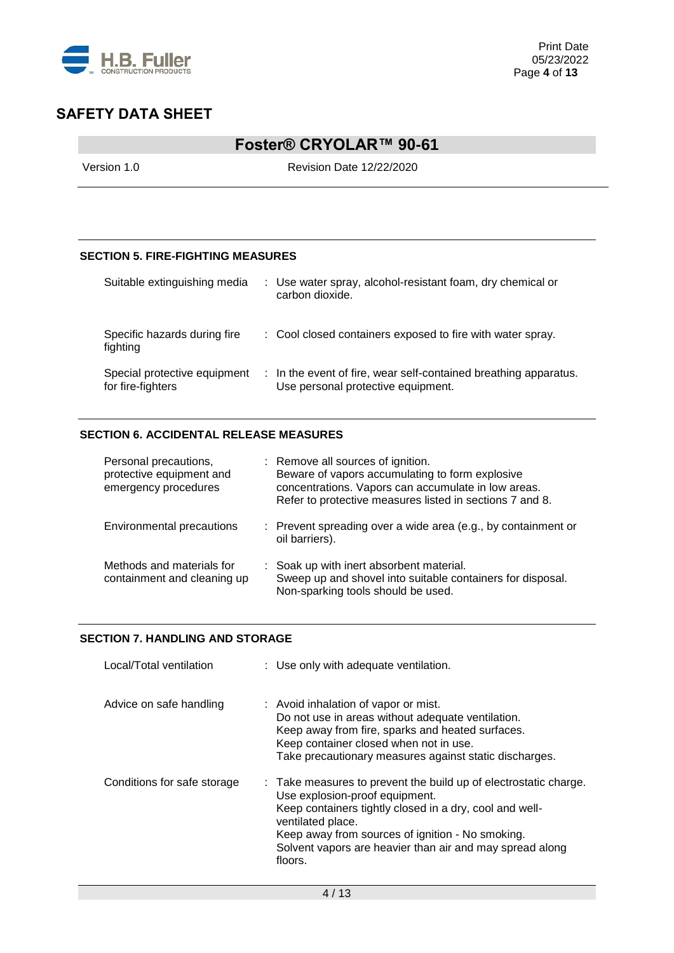

# **Foster® CRYOLAR™ 90-61**

Version 1.0 Revision Date 12/22/2020

### **SECTION 5. FIRE-FIGHTING MEASURES**

| Suitable extinguishing media                      | : Use water spray, alcohol-resistant foam, dry chemical or<br>carbon dioxide.                          |
|---------------------------------------------------|--------------------------------------------------------------------------------------------------------|
| Specific hazards during fire<br>fighting          | : Cool closed containers exposed to fire with water spray.                                             |
| Special protective equipment<br>for fire-fighters | : In the event of fire, wear self-contained breathing apparatus.<br>Use personal protective equipment. |

### **SECTION 6. ACCIDENTAL RELEASE MEASURES**

| Personal precautions,<br>protective equipment and<br>emergency procedures | : Remove all sources of ignition.<br>Beware of vapors accumulating to form explosive<br>concentrations. Vapors can accumulate in low areas.<br>Refer to protective measures listed in sections 7 and 8. |
|---------------------------------------------------------------------------|---------------------------------------------------------------------------------------------------------------------------------------------------------------------------------------------------------|
| Environmental precautions                                                 | : Prevent spreading over a wide area (e.g., by containment or<br>oil barriers).                                                                                                                         |
| Methods and materials for<br>containment and cleaning up                  | : Soak up with inert absorbent material.<br>Sweep up and shovel into suitable containers for disposal.<br>Non-sparking tools should be used.                                                            |

### **SECTION 7. HANDLING AND STORAGE**

| Local/Total ventilation     | : Use only with adequate ventilation.                                                                                                                                                                                                                                                                         |
|-----------------------------|---------------------------------------------------------------------------------------------------------------------------------------------------------------------------------------------------------------------------------------------------------------------------------------------------------------|
| Advice on safe handling     | : Avoid inhalation of vapor or mist.<br>Do not use in areas without adequate ventilation.<br>Keep away from fire, sparks and heated surfaces.<br>Keep container closed when not in use.<br>Take precautionary measures against static discharges.                                                             |
| Conditions for safe storage | : Take measures to prevent the build up of electrostatic charge.<br>Use explosion-proof equipment.<br>Keep containers tightly closed in a dry, cool and well-<br>ventilated place.<br>Keep away from sources of ignition - No smoking.<br>Solvent vapors are heavier than air and may spread along<br>floors. |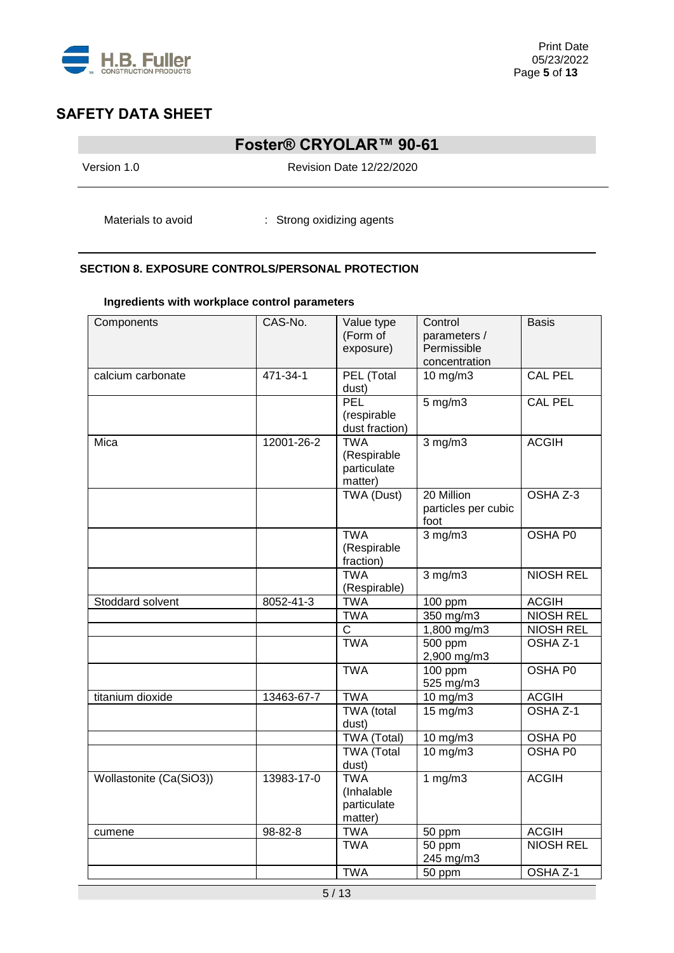

## **Foster® CRYOLAR™ 90-61**

Version 1.0 Revision Date 12/22/2020

Materials to avoid : Strong oxidizing agents

### **SECTION 8. EXPOSURE CONTROLS/PERSONAL PROTECTION**

### **Ingredients with workplace control parameters**

| Components              | CAS-No.    | Value type<br>(Form of<br>exposure)                 | Control<br>parameters /<br>Permissible<br>concentration | <b>Basis</b>     |
|-------------------------|------------|-----------------------------------------------------|---------------------------------------------------------|------------------|
| calcium carbonate       | 471-34-1   | PEL (Total<br>dust)                                 | 10 mg/m3                                                | <b>CAL PEL</b>   |
|                         |            | PEL<br>(respirable<br>dust fraction)                | $5 \text{ mg/m}$                                        | <b>CAL PEL</b>   |
| Mica                    | 12001-26-2 | <b>TWA</b><br>(Respirable<br>particulate<br>matter) | $3$ mg/m $3$                                            | <b>ACGIH</b>     |
|                         |            | <b>TWA (Dust)</b>                                   | 20 Million<br>particles per cubic<br>foot               | OSHA Z-3         |
|                         |            | <b>TWA</b><br>(Respirable<br>fraction)              | $3$ mg/m $3$                                            | OSHA P0          |
|                         |            | <b>TWA</b><br>(Respirable)                          | $3$ mg/m $3$                                            | <b>NIOSH REL</b> |
| Stoddard solvent        | 8052-41-3  | <b>TWA</b>                                          | 100 ppm                                                 | <b>ACGIH</b>     |
|                         |            | <b>TWA</b>                                          | 350 mg/m3                                               | <b>NIOSH REL</b> |
|                         |            | C                                                   | 1,800 mg/m3                                             | <b>NIOSH REL</b> |
|                         |            | <b>TWA</b>                                          | 500 ppm<br>2,900 mg/m3                                  | OSHA Z-1         |
|                         |            | <b>TWA</b>                                          | 100 ppm<br>525 mg/m3                                    | OSHA P0          |
| titanium dioxide        | 13463-67-7 | <b>TWA</b>                                          | 10 mg/m3                                                | <b>ACGIH</b>     |
|                         |            | TWA (total<br>dust)                                 | 15 mg/m3                                                | OSHA Z-1         |
|                         |            | TWA (Total)                                         | 10 mg/m3                                                | OSHA P0          |
|                         |            | <b>TWA (Total</b><br>dust)                          | 10 mg/m3                                                | <b>OSHA PO</b>   |
| Wollastonite (Ca(SiO3)) | 13983-17-0 | <b>TWA</b><br>(Inhalable<br>particulate<br>matter)  | 1 $mg/m3$                                               | <b>ACGIH</b>     |
| cumene                  | 98-82-8    | <b>TWA</b>                                          | 50 ppm                                                  | <b>ACGIH</b>     |
|                         |            | <b>TWA</b>                                          | 50 ppm<br>245 mg/m3                                     | <b>NIOSH REL</b> |
|                         |            | <b>TWA</b>                                          | 50 ppm                                                  | OSHA Z-1         |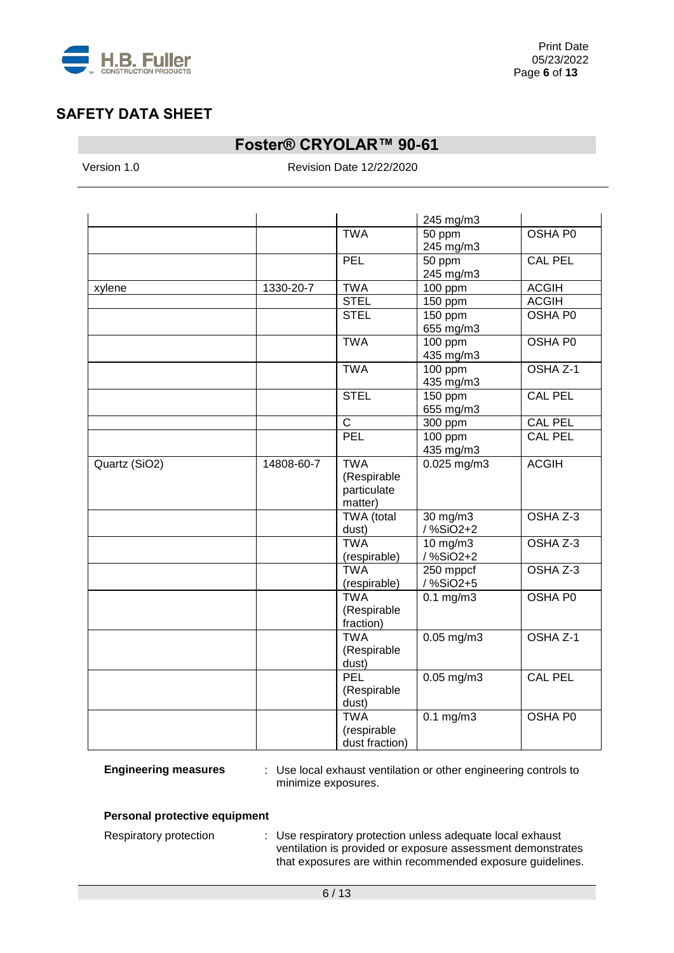

## **Foster® CRYOLAR™ 90-61**

Version 1.0 Revision Date 12/22/2020

|               |            |                                                     | 245 mg/m3                  |                |
|---------------|------------|-----------------------------------------------------|----------------------------|----------------|
|               |            | <b>TWA</b>                                          | 50 ppm<br>245 mg/m3        | OSHA P0        |
|               |            | PEL                                                 | 50 ppm<br>245 mg/m3        | <b>CAL PEL</b> |
| xylene        | 1330-20-7  | <b>TWA</b>                                          | $100$ ppm                  | <b>ACGIH</b>   |
|               |            | <b>STEL</b>                                         | 150 ppm                    | <b>ACGIH</b>   |
|               |            | <b>STEL</b>                                         | 150 ppm<br>655 mg/m3       | <b>OSHA P0</b> |
|               |            | <b>TWA</b>                                          | $100$ ppm<br>435 mg/m3     | <b>OSHA PO</b> |
|               |            | <b>TWA</b>                                          | 100 ppm<br>435 mg/m3       | OSHA Z-1       |
|               |            | <b>STEL</b>                                         | 150 ppm<br>655 mg/m3       | <b>CAL PEL</b> |
|               |            | $\overline{C}$                                      | 300 ppm                    | <b>CAL PEL</b> |
|               |            | PEL                                                 | $100$ ppm<br>435 mg/m3     | <b>CAL PEL</b> |
| Quartz (SiO2) | 14808-60-7 | <b>TWA</b><br>(Respirable<br>particulate<br>matter) | $0.025$ mg/m3              | <b>ACGIH</b>   |
|               |            | TWA (total<br>dust)                                 | 30 mg/m3<br>/ %SiO2+2      | OSHA Z-3       |
|               |            | <b>TWA</b><br>(respirable)                          | $10$ mg/m $3$<br>/ %SiO2+2 | OSHA Z-3       |
|               |            | <b>TWA</b><br>(respirable)                          | 250 mppcf<br>/%SiO2+5      | OSHA Z-3       |
|               |            | <b>TWA</b><br>(Respirable<br>fraction)              | $0.1$ mg/m $3$             | OSHA P0        |
|               |            | <b>TWA</b><br>(Respirable<br>dust)                  | $0.05$ mg/m3               | OSHA Z-1       |
|               |            | <b>PEL</b><br>(Respirable<br>dust)                  | $0.05$ mg/m $3$            | <b>CAL PEL</b> |
|               |            | <b>TWA</b><br>(respirable<br>dust fraction)         | $0.1$ mg/m $3$             | OSHA P0        |

**Engineering measures** : Use local exhaust ventilation or other engineering controls to minimize exposures.

#### **Personal protective equipment**

Respiratory protection : Use respiratory protection unless adequate local exhaust ventilation is provided or exposure assessment demonstrates that exposures are within recommended exposure guidelines.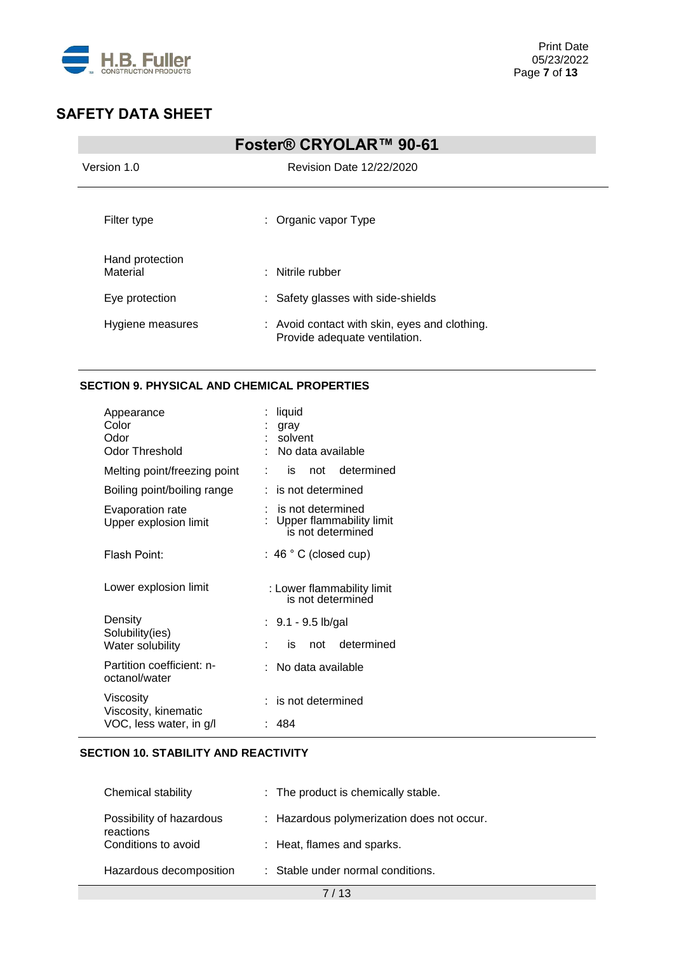

| Foster® CRYOLAR™ 90-61      |                                                                                |  |  |
|-----------------------------|--------------------------------------------------------------------------------|--|--|
| Version 1.0                 | Revision Date 12/22/2020                                                       |  |  |
| Filter type                 | : Organic vapor Type                                                           |  |  |
| Hand protection<br>Material | : Nitrile rubber                                                               |  |  |
| Eye protection              | : Safety glasses with side-shields                                             |  |  |
| Hygiene measures            | : Avoid contact with skin, eyes and clothing.<br>Provide adequate ventilation. |  |  |

### **SECTION 9. PHYSICAL AND CHEMICAL PROPERTIES**

| Appearance<br>Color<br>Odor<br>Odor Threshold | liquid<br>gray<br>solvent<br>No data available                     |
|-----------------------------------------------|--------------------------------------------------------------------|
| Melting point/freezing point                  | not determined<br>is                                               |
| Boiling point/boiling range                   | is not determined                                                  |
| Evaporation rate<br>Upper explosion limit     | is not determined<br>Upper flammability limit<br>is not determined |
| Flash Point:                                  | $: 46 °C$ (closed cup)                                             |
| Lower explosion limit                         | : Lower flammability limit<br>is not determined                    |
| Density                                       | : 9.1 - 9.5 lb/gal                                                 |
| Solubility(ies)<br>Water solubility           | determined<br>not<br>İS                                            |
| Partition coefficient: n-<br>octanol/water    | No data available                                                  |
| Viscosity<br>Viscosity, kinematic             | is not determined                                                  |
| VOC, less water, in g/l                       | 484                                                                |

### **SECTION 10. STABILITY AND REACTIVITY**

| Chemical stability                    | : The product is chemically stable.        |
|---------------------------------------|--------------------------------------------|
| Possibility of hazardous<br>reactions | : Hazardous polymerization does not occur. |
| Conditions to avoid                   | : Heat, flames and sparks.                 |
| Hazardous decomposition               | : Stable under normal conditions.          |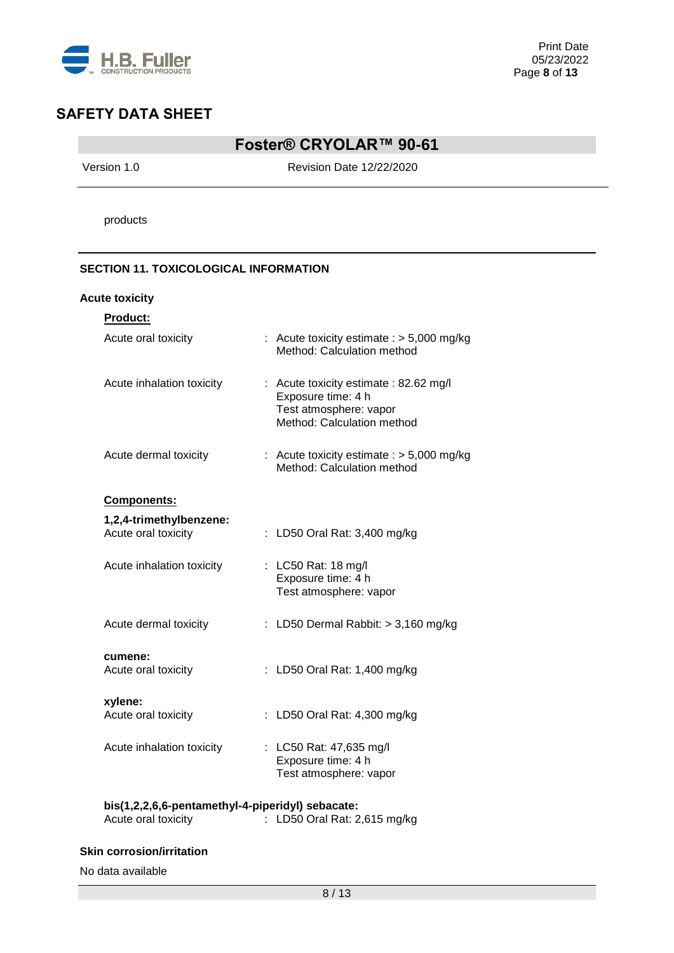

## **Foster® CRYOLAR™ 90-61**

Version 1.0 Revision Date 12/22/2020

products

### **SECTION 11. TOXICOLOGICAL INFORMATION**

### **Acute toxicity**

| <b>Product:</b>                                |                                                                                                                      |
|------------------------------------------------|----------------------------------------------------------------------------------------------------------------------|
| Acute oral toxicity                            | : Acute toxicity estimate : $> 5,000$ mg/kg<br>Method: Calculation method                                            |
| Acute inhalation toxicity                      | : Acute toxicity estimate : 82.62 mg/l<br>Exposure time: 4 h<br>Test atmosphere: vapor<br>Method: Calculation method |
| Acute dermal toxicity                          | : Acute toxicity estimate $:$ > 5,000 mg/kg<br>Method: Calculation method                                            |
| Components:                                    |                                                                                                                      |
| 1,2,4-trimethylbenzene:<br>Acute oral toxicity | : LD50 Oral Rat: 3,400 mg/kg                                                                                         |
| Acute inhalation toxicity                      | : LC50 Rat: 18 mg/l<br>Exposure time: 4 h<br>Test atmosphere: vapor                                                  |
| Acute dermal toxicity                          | : LD50 Dermal Rabbit: $>$ 3,160 mg/kg                                                                                |
| cumene:<br>Acute oral toxicity                 | LD50 Oral Rat: 1,400 mg/kg                                                                                           |
| xylene:<br>Acute oral toxicity                 | : LD50 Oral Rat: 4,300 mg/kg                                                                                         |
| Acute inhalation toxicity                      | : LC50 Rat: 47,635 mg/l<br>Exposure time: 4 h<br>Test atmosphere: vapor                                              |

| bis(1,2,2,6,6-pentamethyl-4-piperidyl) sebacate: |                              |
|--------------------------------------------------|------------------------------|
| Acute oral toxicity                              | : LD50 Oral Rat: 2,615 mg/kg |

#### **Skin corrosion/irritation**

No data available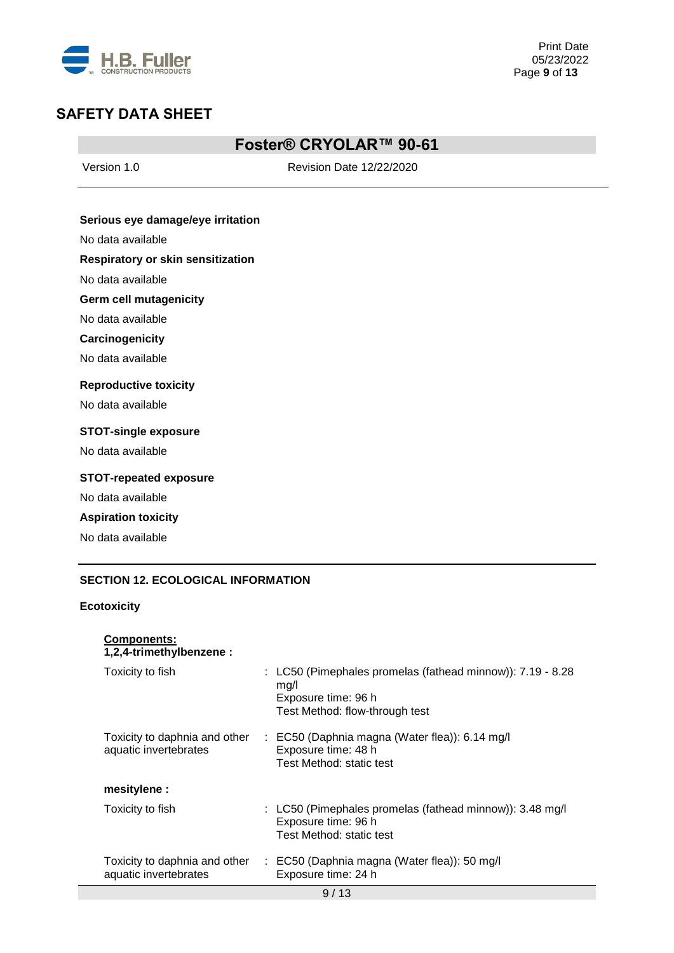

## **Foster® CRYOLAR™ 90-61**

Version 1.0 Revision Date 12/22/2020

### **Serious eye damage/eye irritation**

No data available

### **Respiratory or skin sensitization**

No data available

#### **Germ cell mutagenicity**

No data available

#### **Carcinogenicity**

No data available

#### **Reproductive toxicity**

No data available

#### **STOT-single exposure**

No data available

### **STOT-repeated exposure**

No data available

### **Aspiration toxicity**

**Components:**

No data available

### **SECTION 12. ECOLOGICAL INFORMATION**

#### **Ecotoxicity**

| 1,2,4-trimethylbenzene :                               |                                                                                                                             |
|--------------------------------------------------------|-----------------------------------------------------------------------------------------------------------------------------|
| Toxicity to fish                                       | : LC50 (Pimephales promelas (fathead minnow)): 7.19 - 8.28<br>mq/l<br>Exposure time: 96 h<br>Test Method: flow-through test |
| Toxicity to daphnia and other<br>aquatic invertebrates | : EC50 (Daphnia magna (Water flea)): 6.14 mg/l<br>Exposure time: 48 h<br>Test Method: static test                           |
| mesitylene :                                           |                                                                                                                             |
| Toxicity to fish                                       | : LC50 (Pimephales promelas (fathead minnow)): 3.48 mg/l<br>Exposure time: 96 h<br>Test Method: static test                 |
| Toxicity to daphnia and other<br>aquatic invertebrates | : EC50 (Daphnia magna (Water flea)): 50 mg/l<br>Exposure time: 24 h                                                         |
|                                                        | 9/13                                                                                                                        |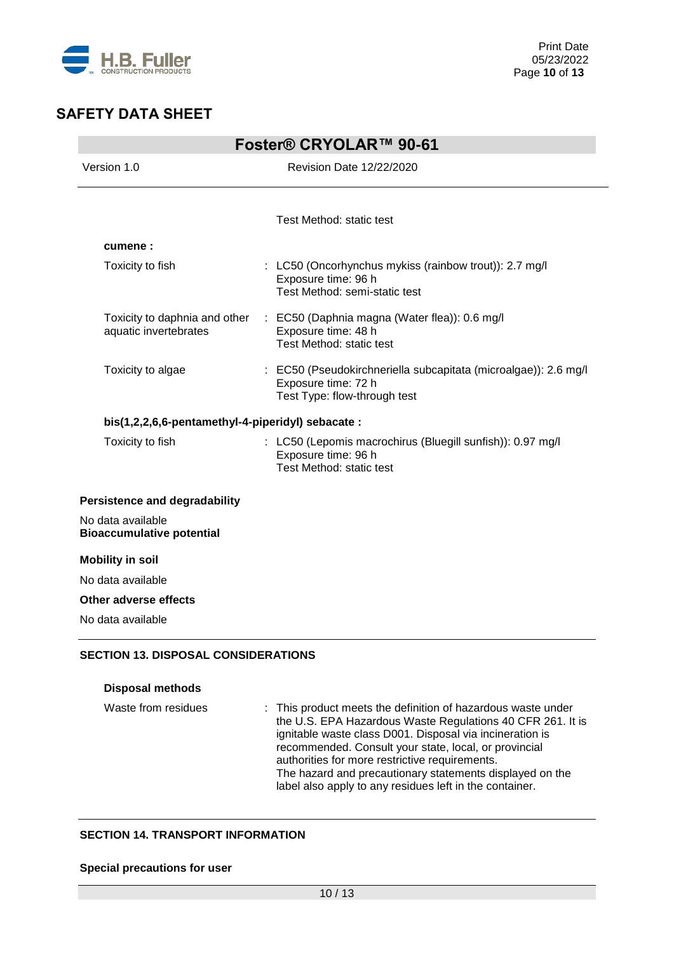

| Foster® CRYOLAR™ 90-61                                 |                                                                                                                        |  |
|--------------------------------------------------------|------------------------------------------------------------------------------------------------------------------------|--|
| Version 1.0                                            | <b>Revision Date 12/22/2020</b>                                                                                        |  |
|                                                        |                                                                                                                        |  |
|                                                        | Test Method: static test                                                                                               |  |
| cumene:                                                |                                                                                                                        |  |
| Toxicity to fish                                       | : LC50 (Oncorhynchus mykiss (rainbow trout)): 2.7 mg/l<br>Exposure time: 96 h<br>Test Method: semi-static test         |  |
| Toxicity to daphnia and other<br>aquatic invertebrates | : EC50 (Daphnia magna (Water flea)): 0.6 mg/l<br>Exposure time: 48 h<br>Test Method: static test                       |  |
| Toxicity to algae                                      | : EC50 (Pseudokirchneriella subcapitata (microalgae)): 2.6 mg/l<br>Exposure time: 72 h<br>Test Type: flow-through test |  |
| bis(1,2,2,6,6-pentamethyl-4-piperidyl) sebacate :      |                                                                                                                        |  |
| Toxicity to fish                                       | : LC50 (Lepomis macrochirus (Bluegill sunfish)): 0.97 mg/l<br>Exposure time: 96 h<br>Test Method: static test          |  |
| Persistence and degradability                          |                                                                                                                        |  |
| No data available<br><b>Bioaccumulative potential</b>  |                                                                                                                        |  |
| <b>Mobility in soil</b>                                |                                                                                                                        |  |
| No data available                                      |                                                                                                                        |  |
| Other adverse effects                                  |                                                                                                                        |  |
| No data available                                      |                                                                                                                        |  |

### **Disposal methods**

| Waste from residues | : This product meets the definition of hazardous waste under<br>the U.S. EPA Hazardous Waste Regulations 40 CFR 261. It is<br>ignitable waste class D001. Disposal via incineration is<br>recommended. Consult your state, local, or provincial<br>authorities for more restrictive requirements.<br>The hazard and precautionary statements displayed on the<br>label also apply to any residues left in the container. |
|---------------------|--------------------------------------------------------------------------------------------------------------------------------------------------------------------------------------------------------------------------------------------------------------------------------------------------------------------------------------------------------------------------------------------------------------------------|
|                     |                                                                                                                                                                                                                                                                                                                                                                                                                          |

### **SECTION 14. TRANSPORT INFORMATION**

### **Special precautions for user**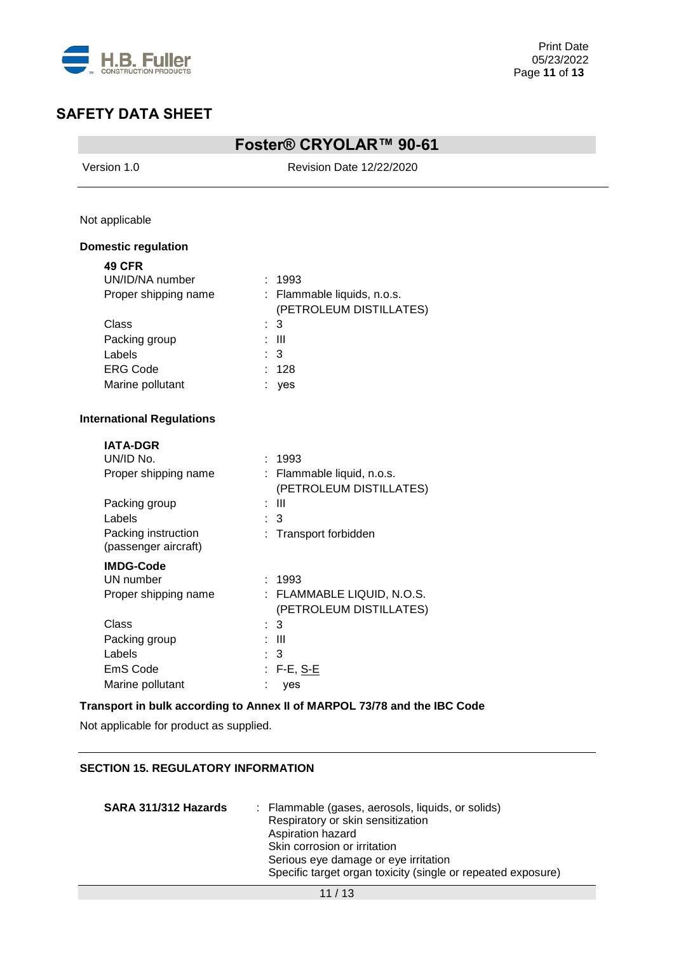

# **Foster® CRYOLAR™ 90-61**

Version 1.0 Revision Date 12/22/2020

Not applicable

### **Domestic regulation**

| <b>49 CFR</b>        |    |                             |
|----------------------|----|-----------------------------|
| UN/ID/NA number      |    | : 1993                      |
| Proper shipping name |    | : Flammable liquids, n.o.s. |
|                      |    | (PETROLEUM DISTILLATES)     |
| Class                |    | $\therefore$ 3              |
| Packing group        |    | : III                       |
| Labels               |    | $\therefore$ 3              |
| <b>ERG Code</b>      |    | : 128                       |
| Marine pollutant     | ä, | yes                         |

### **International Regulations**

| <b>IATA-DGR</b>                             |                                                       |
|---------------------------------------------|-------------------------------------------------------|
| UN/ID No.                                   | : 1993                                                |
| Proper shipping name                        | : Flammable liquid, n.o.s.<br>(PETROLEUM DISTILLATES) |
| Packing group                               | : III                                                 |
| Labels                                      | : 3                                                   |
| Packing instruction<br>(passenger aircraft) | : Transport forbidden                                 |
| <b>IMDG-Code</b>                            |                                                       |
| UN number                                   | : 1993                                                |
| Proper shipping name                        | : FLAMMABLE LIQUID, N.O.S.<br>(PETROLEUM DISTILLATES) |
| Class                                       | $\therefore$ 3                                        |
| Packing group                               | : III                                                 |
| Labels                                      | : 3                                                   |
| EmS Code                                    | : F-E, <u>S-E</u>                                     |
| Marine pollutant                            | ves                                                   |

### **Transport in bulk according to Annex II of MARPOL 73/78 and the IBC Code**

Not applicable for product as supplied.

### **SECTION 15. REGULATORY INFORMATION**

| SARA 311/312 Hazards | : Flammable (gases, aerosols, liquids, or solids)            |
|----------------------|--------------------------------------------------------------|
|                      | Respiratory or skin sensitization                            |
|                      | Aspiration hazard                                            |
|                      | Skin corrosion or irritation                                 |
|                      | Serious eye damage or eye irritation                         |
|                      | Specific target organ toxicity (single or repeated exposure) |
|                      |                                                              |

11 / 13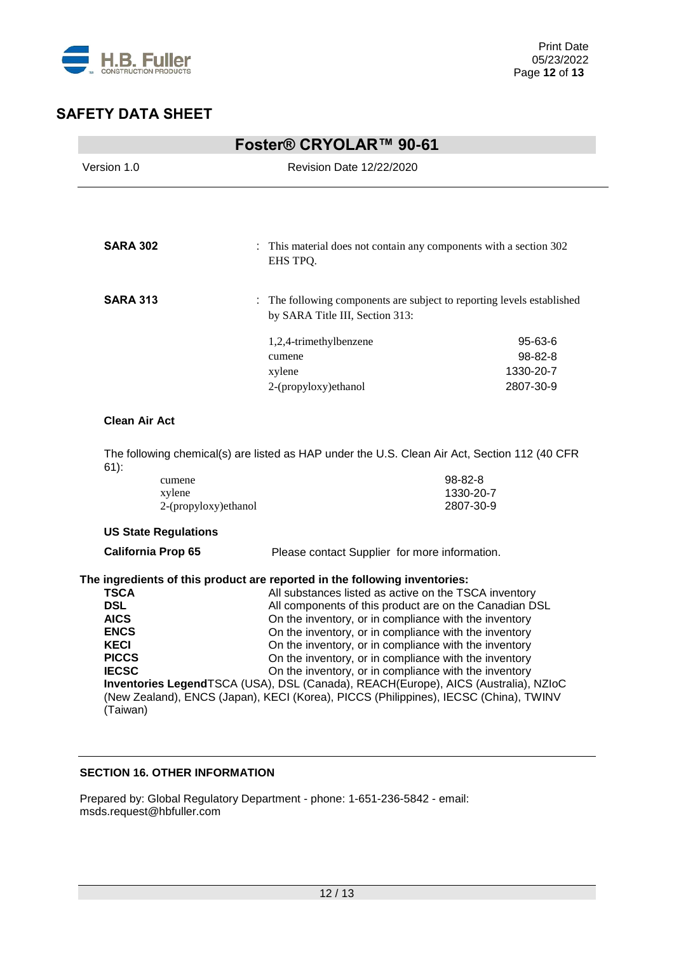

|                                                                                                             |                                          | Foster® CRYOLAR™ 90-61                                                                                                                                                                                                                                                                                                                                                                                                                                                                                                                                                                                                                                                   |                                              |
|-------------------------------------------------------------------------------------------------------------|------------------------------------------|--------------------------------------------------------------------------------------------------------------------------------------------------------------------------------------------------------------------------------------------------------------------------------------------------------------------------------------------------------------------------------------------------------------------------------------------------------------------------------------------------------------------------------------------------------------------------------------------------------------------------------------------------------------------------|----------------------------------------------|
| Version 1.0                                                                                                 |                                          | <b>Revision Date 12/22/2020</b>                                                                                                                                                                                                                                                                                                                                                                                                                                                                                                                                                                                                                                          |                                              |
|                                                                                                             |                                          |                                                                                                                                                                                                                                                                                                                                                                                                                                                                                                                                                                                                                                                                          |                                              |
| <b>SARA 302</b>                                                                                             |                                          | This material does not contain any components with a section 302<br>EHS TPQ.                                                                                                                                                                                                                                                                                                                                                                                                                                                                                                                                                                                             |                                              |
| <b>SARA 313</b>                                                                                             |                                          | The following components are subject to reporting levels established<br>by SARA Title III, Section 313:                                                                                                                                                                                                                                                                                                                                                                                                                                                                                                                                                                  |                                              |
|                                                                                                             |                                          | 1,2,4-trimethylbenzene<br>cumene<br>xylene<br>2-(propyloxy)ethanol                                                                                                                                                                                                                                                                                                                                                                                                                                                                                                                                                                                                       | 95-63-6<br>98-82-8<br>1330-20-7<br>2807-30-9 |
| <b>Clean Air Act</b>                                                                                        |                                          |                                                                                                                                                                                                                                                                                                                                                                                                                                                                                                                                                                                                                                                                          |                                              |
|                                                                                                             |                                          | The following chemical(s) are listed as HAP under the U.S. Clean Air Act, Section 112 (40 CFR                                                                                                                                                                                                                                                                                                                                                                                                                                                                                                                                                                            |                                              |
| $61)$ :                                                                                                     | cumene<br>xylene<br>2-(propyloxy)ethanol |                                                                                                                                                                                                                                                                                                                                                                                                                                                                                                                                                                                                                                                                          | 98-82-8<br>1330-20-7<br>2807-30-9            |
|                                                                                                             | <b>US State Regulations</b>              |                                                                                                                                                                                                                                                                                                                                                                                                                                                                                                                                                                                                                                                                          |                                              |
| <b>California Prop 65</b>                                                                                   |                                          | Please contact Supplier for more information.                                                                                                                                                                                                                                                                                                                                                                                                                                                                                                                                                                                                                            |                                              |
| <b>TSCA</b><br><b>DSL</b><br><b>AICS</b><br>ENCS<br><b>KECI</b><br><b>PICCS</b><br><b>IECSC</b><br>(Taiwan) |                                          | The ingredients of this product are reported in the following inventories:<br>All substances listed as active on the TSCA inventory<br>All components of this product are on the Canadian DSL<br>On the inventory, or in compliance with the inventory<br>On the inventory, or in compliance with the inventory<br>On the inventory, or in compliance with the inventory<br>On the inventory, or in compliance with the inventory<br>On the inventory, or in compliance with the inventory<br>Inventories LegendTSCA (USA), DSL (Canada), REACH(Europe), AICS (Australia), NZIoC<br>(New Zealand), ENCS (Japan), KECI (Korea), PICCS (Philippines), IECSC (China), TWINV |                                              |

### **SECTION 16. OTHER INFORMATION**

Prepared by: Global Regulatory Department - phone: 1-651-236-5842 - email: msds.request@hbfuller.com